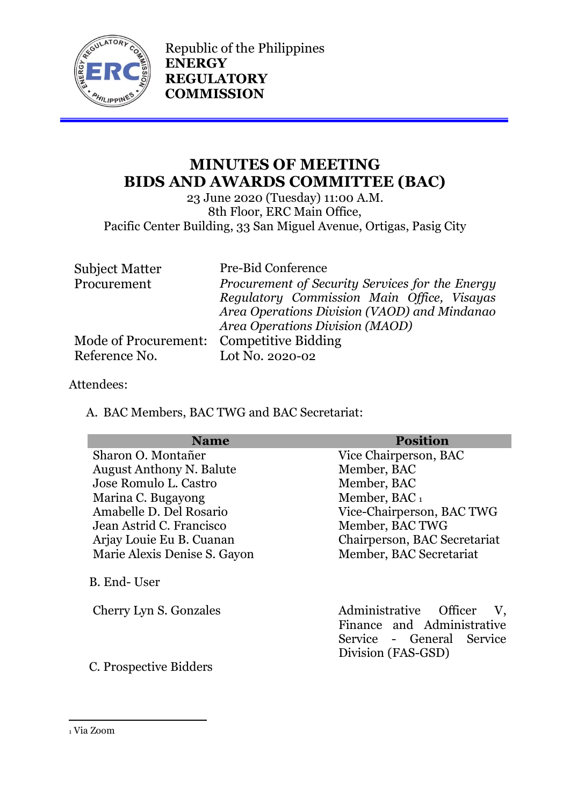

Republic of the Philippines **ENERGY REGULATORY COMMISSION**

# **MINUTES OF MEETING BIDS AND AWARDS COMMITTEE (BAC)**

23 June 2020 (Tuesday) 11:00 A.M. 8th Floor, ERC Main Office, Pacific Center Building, 33 San Miguel Avenue, Ortigas, Pasig City

| <b>Subject Matter</b>                    | Pre-Bid Conference                              |
|------------------------------------------|-------------------------------------------------|
| Procurement                              | Procurement of Security Services for the Energy |
|                                          | Regulatory Commission Main Office, Visayas      |
|                                          | Area Operations Division (VAOD) and Mindanao    |
|                                          | Area Operations Division (MAOD)                 |
| Mode of Procurement: Competitive Bidding |                                                 |
| Reference No.                            | Lot No. 2020-02                                 |

#### Attendees:

A. BAC Members, BAC TWG and BAC Secretariat:

| <b>Name</b>                     | <b>Position</b>                                                                         |
|---------------------------------|-----------------------------------------------------------------------------------------|
| Sharon O. Montañer              | Vice Chairperson, BAC                                                                   |
| <b>August Anthony N. Balute</b> | Member, BAC                                                                             |
| Jose Romulo L. Castro           | Member, BAC                                                                             |
| Marina C. Bugayong              | Member, BAC <sub>1</sub>                                                                |
| Amabelle D. Del Rosario         | Vice-Chairperson, BAC TWG                                                               |
| Jean Astrid C. Francisco        | Member, BAC TWG                                                                         |
| Arjay Louie Eu B. Cuanan        | Chairperson, BAC Secretariat                                                            |
| Marie Alexis Denise S. Gayon    | Member, BAC Secretariat                                                                 |
| B. End-User                     |                                                                                         |
| Cherry Lyn S. Gonzales          | Administrative Officer<br>V,<br>Finance and Administrative<br>Service - General Service |
|                                 | Division (FAS-GSD)                                                                      |
| C. Prospective Bidders          |                                                                                         |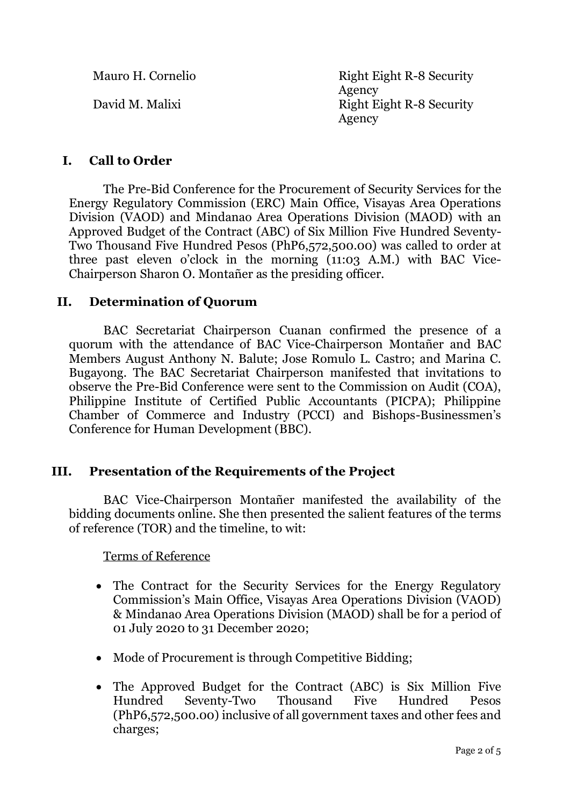Mauro H. Cornelio Right Eight R-8 Security Agency David M. Malixi Right Eight R-8 Security Agency

# **I. Call to Order**

The Pre-Bid Conference for the Procurement of Security Services for the Energy Regulatory Commission (ERC) Main Office, Visayas Area Operations Division (VAOD) and Mindanao Area Operations Division (MAOD) with an Approved Budget of the Contract (ABC) of Six Million Five Hundred Seventy-Two Thousand Five Hundred Pesos (PhP6,572,500.00) was called to order at three past eleven o'clock in the morning (11:03 A.M.) with BAC Vice-Chairperson Sharon O. Montañer as the presiding officer.

#### **II. Determination of Quorum**

BAC Secretariat Chairperson Cuanan confirmed the presence of a quorum with the attendance of BAC Vice-Chairperson Montañer and BAC Members August Anthony N. Balute; Jose Romulo L. Castro; and Marina C. Bugayong. The BAC Secretariat Chairperson manifested that invitations to observe the Pre-Bid Conference were sent to the Commission on Audit (COA), Philippine Institute of Certified Public Accountants (PICPA); Philippine Chamber of Commerce and Industry (PCCI) and Bishops-Businessmen's Conference for Human Development (BBC).

### **III. Presentation of the Requirements of the Project**

BAC Vice-Chairperson Montañer manifested the availability of the bidding documents online. She then presented the salient features of the terms of reference (TOR) and the timeline, to wit:

Terms of Reference

- The Contract for the Security Services for the Energy Regulatory Commission's Main Office, Visayas Area Operations Division (VAOD) & Mindanao Area Operations Division (MAOD) shall be for a period of 01 July 2020 to 31 December 2020;
- Mode of Procurement is through Competitive Bidding;
- The Approved Budget for the Contract (ABC) is Six Million Five Hundred Seventy-Two Thousand Five Hundred Pesos (PhP6,572,500.00) inclusive of all government taxes and other fees and charges;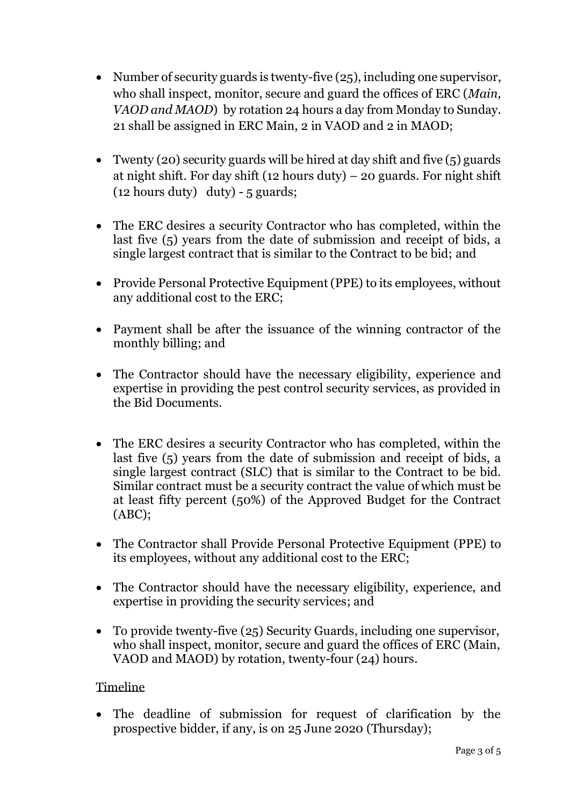- Number of security guards is twenty-five (25), including one supervisor, who shall inspect, monitor, secure and guard the offices of ERC (*Main, VAOD and MAOD*) by rotation 24 hours a day from Monday to Sunday. 21 shall be assigned in ERC Main, 2 in VAOD and 2 in MAOD;
- Twenty (20) security guards will be hired at day shift and five  $(5)$  guards at night shift. For day shift (12 hours duty) – 20 guards. For night shift  $(12$  hours duty) duty) - 5 guards;
- The ERC desires a security Contractor who has completed, within the last five (5) years from the date of submission and receipt of bids, a single largest contract that is similar to the Contract to be bid; and
- Provide Personal Protective Equipment (PPE) to its employees, without any additional cost to the ERC;
- Payment shall be after the issuance of the winning contractor of the monthly billing; and
- The Contractor should have the necessary eligibility, experience and expertise in providing the pest control security services, as provided in the Bid Documents.
- The ERC desires a security Contractor who has completed, within the last five (5) years from the date of submission and receipt of bids, a single largest contract (SLC) that is similar to the Contract to be bid. Similar contract must be a security contract the value of which must be at least fifty percent (50%) of the Approved Budget for the Contract (ABC);
- The Contractor shall Provide Personal Protective Equipment (PPE) to its employees, without any additional cost to the ERC;
- The Contractor should have the necessary eligibility, experience, and expertise in providing the security services; and
- To provide twenty-five (25) Security Guards, including one supervisor, who shall inspect, monitor, secure and guard the offices of ERC (Main, VAOD and MAOD) by rotation, twenty-four (24) hours.

### Timeline

• The deadline of submission for request of clarification by the prospective bidder, if any, is on 25 June 2020 (Thursday);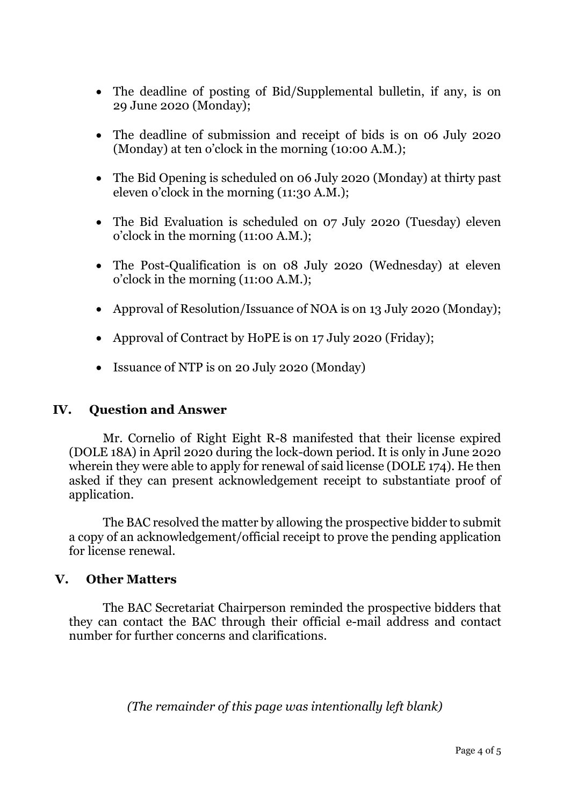- The deadline of posting of Bid/Supplemental bulletin, if any, is on 29 June 2020 (Monday);
- The deadline of submission and receipt of bids is on 06 July 2020 (Monday) at ten o'clock in the morning (10:00 A.M.);
- The Bid Opening is scheduled on 06 July 2020 (Monday) at thirty past eleven o'clock in the morning (11:30 A.M.);
- The Bid Evaluation is scheduled on 07 July 2020 (Tuesday) eleven o'clock in the morning (11:00 A.M.);
- The Post-Qualification is on 08 July 2020 (Wednesday) at eleven o'clock in the morning (11:00 A.M.);
- Approval of Resolution/Issuance of NOA is on 13 July 2020 (Monday);
- Approval of Contract by HoPE is on 17 July 2020 (Friday);
- Issuance of NTP is on 20 July 2020 (Monday)

## **IV. Question and Answer**

Mr. Cornelio of Right Eight R-8 manifested that their license expired (DOLE 18A) in April 2020 during the lock-down period. It is only in June 2020 wherein they were able to apply for renewal of said license (DOLE 174). He then asked if they can present acknowledgement receipt to substantiate proof of application.

The BAC resolved the matter by allowing the prospective bidder to submit a copy of an acknowledgement/official receipt to prove the pending application for license renewal.

### **V. Other Matters**

The BAC Secretariat Chairperson reminded the prospective bidders that they can contact the BAC through their official e-mail address and contact number for further concerns and clarifications.

*(The remainder of this page was intentionally left blank)*